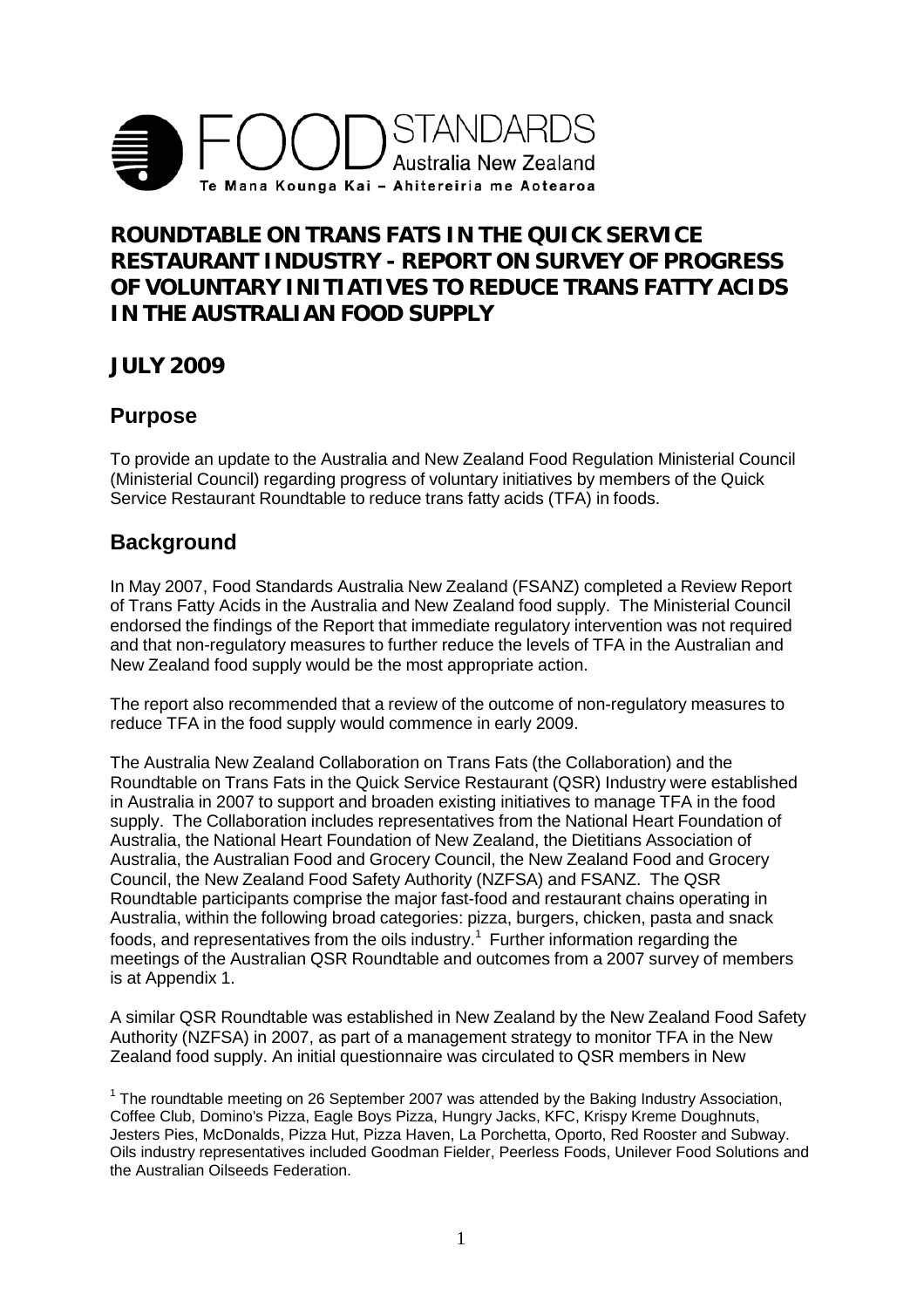

# **ROUNDTABLE ON TRANS FATS IN THE QUICK SERVICE RESTAURANT INDUSTRY - REPORT ON SURVEY OF PROGRESS OF VOLUNTARY INITIATIVES TO REDUCE TRANS FATTY ACIDS IN THE AUSTRALIAN FOOD SUPPLY**

**JULY 2009**

### **Purpose**

To provide an update to the Australia and New Zealand Food Regulation Ministerial Council (Ministerial Council) regarding progress of voluntary initiatives by members of the Quick Service Restaurant Roundtable to reduce trans fatty acids (TFA) in foods.

# **Background**

In May 2007, Food Standards Australia New Zealand (FSANZ) completed a Review Report of Trans Fatty Acids in the Australia and New Zealand food supply. The Ministerial Council endorsed the findings of the Report that immediate regulatory intervention was not required and that non-regulatory measures to further reduce the levels of TFA in the Australian and New Zealand food supply would be the most appropriate action.

The report also recommended that a review of the outcome of non-regulatory measures to reduce TFA in the food supply would commence in early 2009.

The Australia New Zealand Collaboration on Trans Fats (the Collaboration) and the Roundtable on Trans Fats in the Quick Service Restaurant (QSR) Industry were established in Australia in 2007 to support and broaden existing initiatives to manage TFA in the food supply. The Collaboration includes representatives from the National Heart Foundation of Australia, the National Heart Foundation of New Zealand, the Dietitians Association of Australia, the Australian Food and Grocery Council, the New Zealand Food and Grocery Council, the New Zealand Food Safety Authority (NZFSA) and FSANZ. The QSR Roundtable participants comprise the major fast-food and restaurant chains operating in Australia, within the following broad categories: pizza, burgers, chicken, pasta and snack foods, and representatives from the oils industry.<sup>1</sup> Further information regarding the meetings of the Australian QSR Roundtable and outcomes from a 2007 survey of members is at Appendix 1.

A similar QSR Roundtable was established in New Zealand by the New Zealand Food Safety Authority (NZFSA) in 2007, as part of a management strategy to monitor TFA in the New Zealand food supply. An initial questionnaire was circulated to QSR members in New

 $<sup>1</sup>$  The roundtable meeting on 26 September 2007 was attended by the Baking Industry Association,</sup> Coffee Club, Domino's Pizza, Eagle Boys Pizza, Hungry Jacks, KFC, Krispy Kreme Doughnuts, Jesters Pies, McDonalds, Pizza Hut, Pizza Haven, La Porchetta, Oporto, Red Rooster and Subway. Oils industry representatives included Goodman Fielder, Peerless Foods, Unilever Food Solutions and the Australian Oilseeds Federation.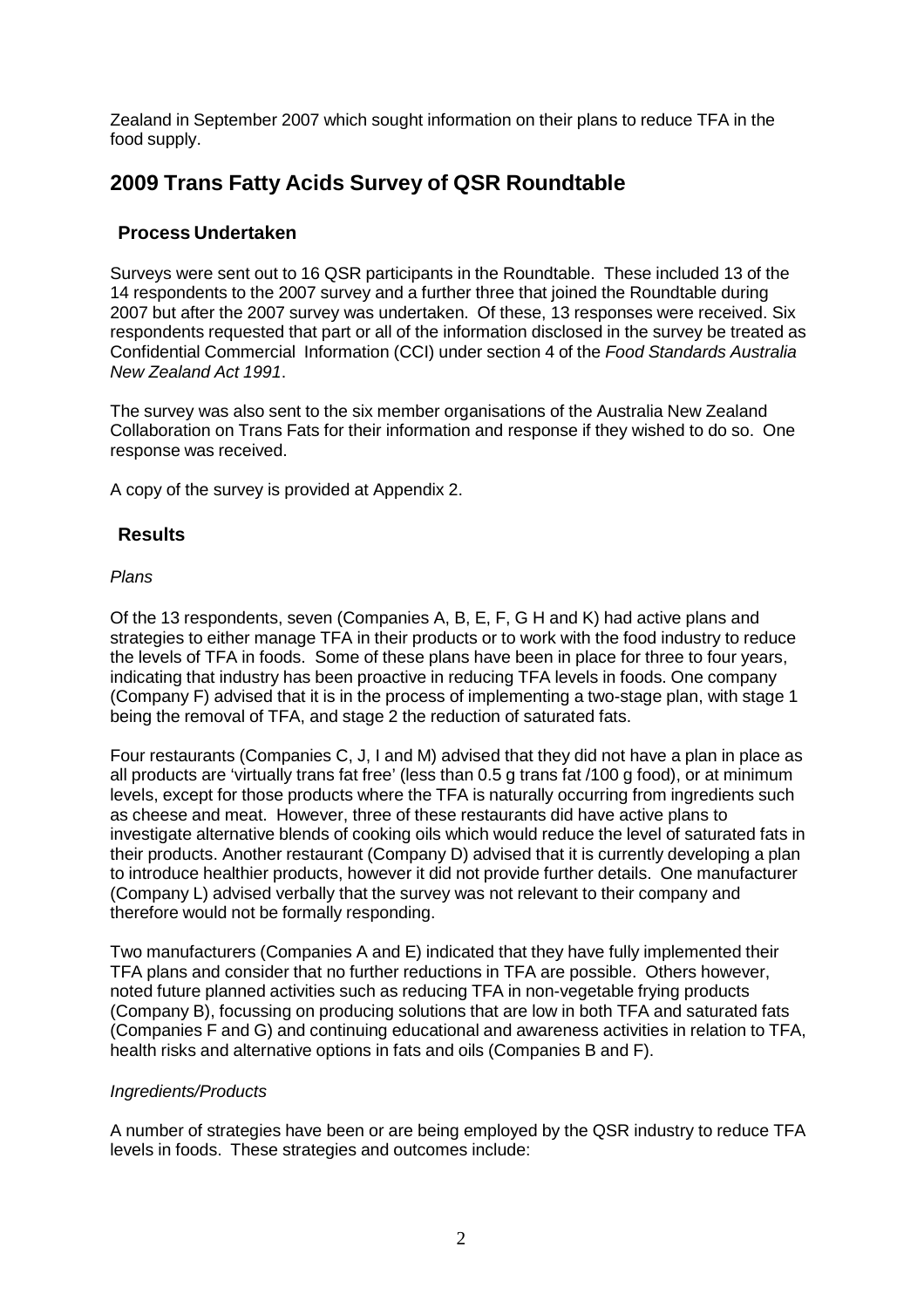Zealand in September 2007 which sought information on their plans to reduce TFA in the food supply.

# **2009 Trans Fatty Acids Survey of QSR Roundtable**

### **Process Undertaken**

Surveys were sent out to 16 QSR participants in the Roundtable. These included 13 of the 14 respondents to the 2007 survey and a further three that joined the Roundtable during 2007 but after the 2007 survey was undertaken. Of these, 13 responses were received. Six respondents requested that part or all of the information disclosed in the survey be treated as Confidential Commercial Information (CCI) under section 4 of the *Food Standards Australia New Zealand Act 1991*.

The survey was also sent to the six member organisations of the Australia New Zealand Collaboration on Trans Fats for their information and response if they wished to do so. One response was received.

A copy of the survey is provided at Appendix 2.

### **Results**

### *Plans*

Of the 13 respondents, seven (Companies A, B, E, F, G H and K) had active plans and strategies to either manage TFA in their products or to work with the food industry to reduce the levels of TFA in foods. Some of these plans have been in place for three to four years, indicating that industry has been proactive in reducing TFA levels in foods. One company (Company F) advised that it is in the process of implementing a two-stage plan, with stage 1 being the removal of TFA, and stage 2 the reduction of saturated fats.

Four restaurants (Companies C, J, I and M) advised that they did not have a plan in place as all products are 'virtually trans fat free' (less than 0.5 g trans fat /100 g food), or at minimum levels, except for those products where the TFA is naturally occurring from ingredients such as cheese and meat. However, three of these restaurants did have active plans to investigate alternative blends of cooking oils which would reduce the level of saturated fats in their products. Another restaurant (Company D) advised that it is currently developing a plan to introduce healthier products, however it did not provide further details. One manufacturer (Company L) advised verbally that the survey was not relevant to their company and therefore would not be formally responding.

Two manufacturers (Companies A and E) indicated that they have fully implemented their TFA plans and consider that no further reductions in TFA are possible. Others however, noted future planned activities such as reducing TFA in non-vegetable frying products (Company B), focussing on producing solutions that are low in both TFA and saturated fats (Companies F and G) and continuing educational and awareness activities in relation to TFA, health risks and alternative options in fats and oils (Companies B and F).

#### *Ingredients/Products*

A number of strategies have been or are being employed by the QSR industry to reduce TFA levels in foods. These strategies and outcomes include: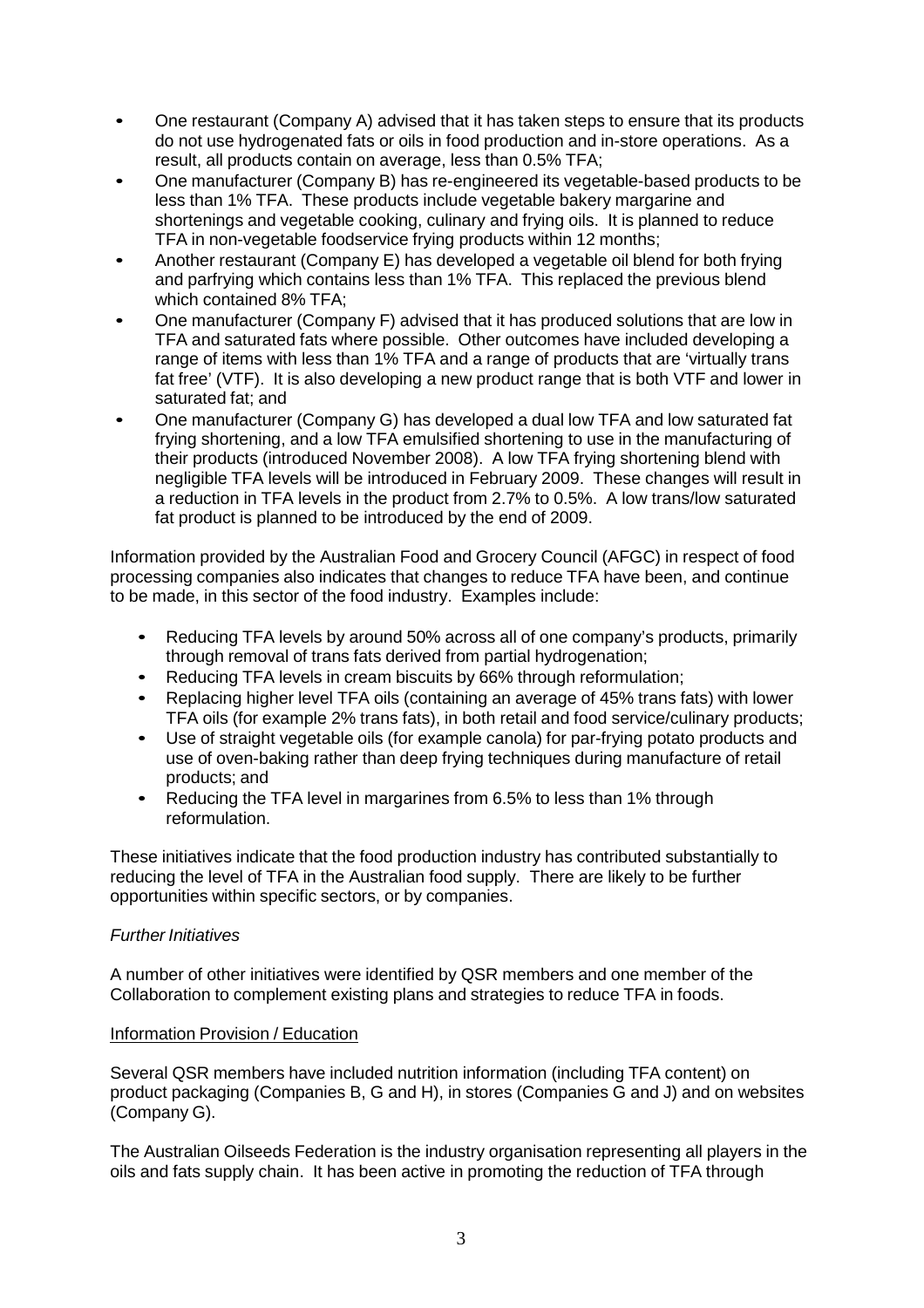- One restaurant (Company A) advised that it has taken steps to ensure that its products do not use hydrogenated fats or oils in food production and in-store operations. As a result, all products contain on average, less than 0.5% TFA;
- One manufacturer (Company B) has re-engineered its vegetable-based products to be less than 1% TFA. These products include vegetable bakery margarine and shortenings and vegetable cooking, culinary and frying oils. It is planned to reduce TFA in non-vegetable foodservice frying products within 12 months;
- Another restaurant (Company E) has developed a vegetable oil blend for both frying and parfrying which contains less than 1% TFA. This replaced the previous blend which contained 8% TFA;
- One manufacturer (Company F) advised that it has produced solutions that are low in TFA and saturated fats where possible. Other outcomes have included developing a range of items with less than 1% TFA and a range of products that are 'virtually trans fat free' (VTF). It is also developing a new product range that is both VTF and lower in saturated fat; and
- One manufacturer (Company G) has developed a dual low TFA and low saturated fat frying shortening, and a low TFA emulsified shortening to use in the manufacturing of their products (introduced November 2008). A low TFA frying shortening blend with negligible TFA levels will be introduced in February 2009. These changes will result in a reduction in TFA levels in the product from 2.7% to 0.5%. A low trans/low saturated fat product is planned to be introduced by the end of 2009.

Information provided by the Australian Food and Grocery Council (AFGC) in respect of food processing companies also indicates that changes to reduce TFA have been, and continue to be made, in this sector of the food industry. Examples include:

- Reducing TFA levels by around 50% across all of one company's products, primarily through removal of trans fats derived from partial hydrogenation;
- Reducing TFA levels in cream biscuits by 66% through reformulation;
- Replacing higher level TFA oils (containing an average of 45% trans fats) with lower TFA oils (for example 2% trans fats), in both retail and food service/culinary products;
- Use of straight vegetable oils (for example canola) for par-frying potato products and use of oven-baking rather than deep frying techniques during manufacture of retail products; and
- Reducing the TFA level in margarines from 6.5% to less than 1% through reformulation.

These initiatives indicate that the food production industry has contributed substantially to reducing the level of TFA in the Australian food supply. There are likely to be further opportunities within specific sectors, or by companies.

#### *Further Initiatives*

A number of other initiatives were identified by QSR members and one member of the Collaboration to complement existing plans and strategies to reduce TFA in foods.

#### Information Provision / Education

Several QSR members have included nutrition information (including TFA content) on product packaging (Companies B, G and H), in stores (Companies G and J) and on websites (Company G).

The Australian Oilseeds Federation is the industry organisation representing all players in the oils and fats supply chain. It has been active in promoting the reduction of TFA through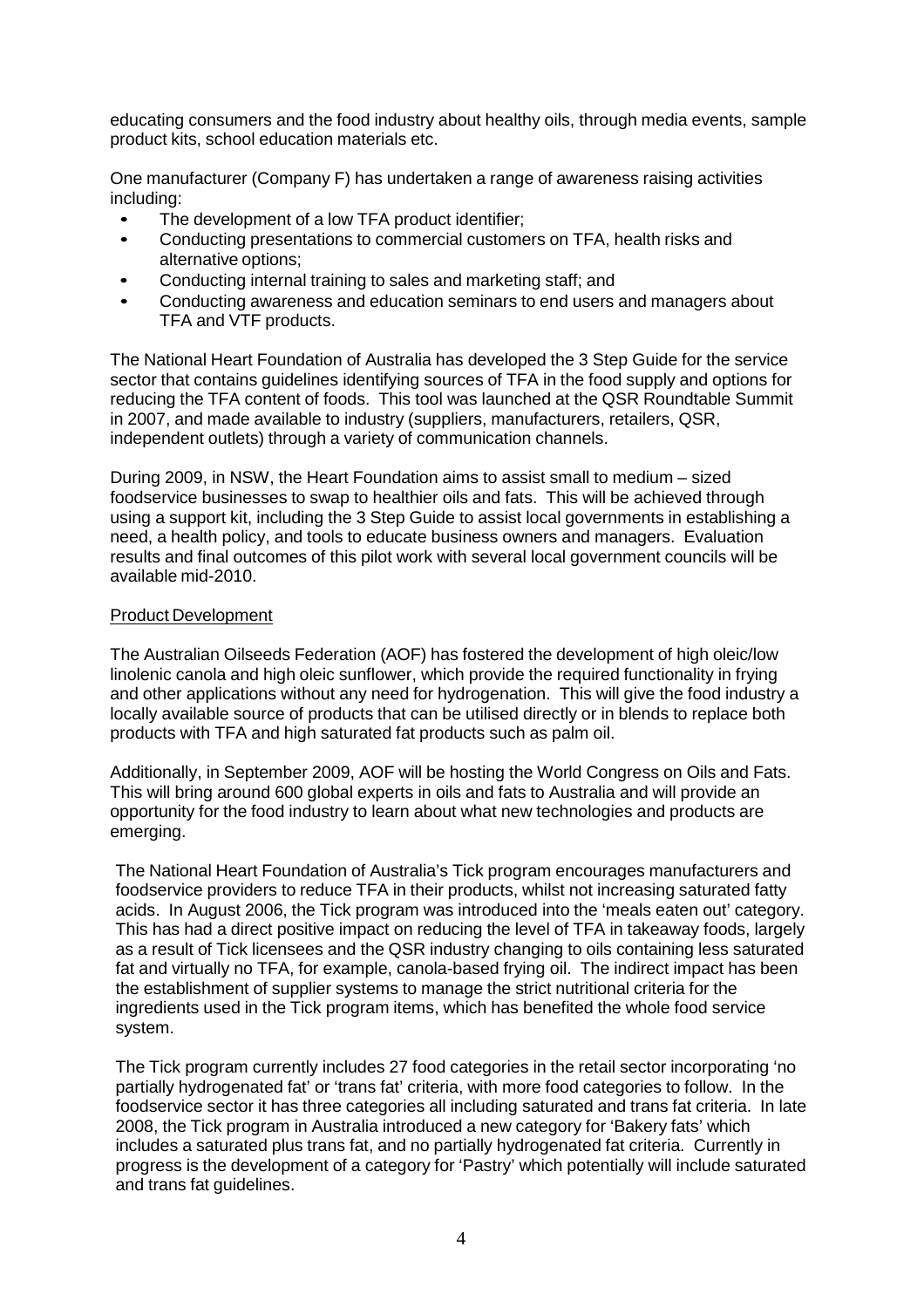educating consumers and the food industry about healthy oils, through media events, sample product kits, school education materials etc.

One manufacturer (Company F) has undertaken a range of awareness raising activities including:

- The development of a low TFA product identifier;<br>• Conducting presentations to commercial custome
- Conducting presentations to commercial customers on TFA, health risks and alternative options;
- Conducting internal training to sales and marketing staff; and
- Conducting awareness and education seminars to end users and managers about TFA and VTF products.

The National Heart Foundation of Australia has developed the 3 Step Guide for the service sector that contains guidelines identifying sources of TFA in the food supply and options for reducing the TFA content of foods. This tool was launched at the QSR Roundtable Summit in 2007, and made available to industry (suppliers, manufacturers, retailers, QSR, independent outlets) through a variety of communication channels.

During 2009, in NSW, the Heart Foundation aims to assist small to medium – sized foodservice businesses to swap to healthier oils and fats. This will be achieved through using a support kit, including the 3 Step Guide to assist local governments in establishing a need, a health policy, and tools to educate business owners and managers. Evaluation results and final outcomes of this pilot work with several local government councils will be available mid-2010.

#### Product Development

The Australian Oilseeds Federation (AOF) has fostered the development of high oleic/low linolenic canola and high oleic sunflower, which provide the required functionality in frying and other applications without any need for hydrogenation. This will give the food industry a locally available source of products that can be utilised directly or in blends to replace both products with TFA and high saturated fat products such as palm oil.

Additionally, in September 2009, AOF will be hosting the World Congress on Oils and Fats. This will bring around 600 global experts in oils and fats to Australia and will provide an opportunity for the food industry to learn about what new technologies and products are emerging.

The National Heart Foundation of Australia's Tick program encourages manufacturers and foodservice providers to reduce TFA in their products, whilst not increasing saturated fatty acids. In August 2006, the Tick program was introduced into the 'meals eaten out' category. This has had a direct positive impact on reducing the level of TFA in takeaway foods, largely as a result of Tick licensees and the QSR industry changing to oils containing less saturated fat and virtually no TFA, for example, canola-based frying oil. The indirect impact has been the establishment of supplier systems to manage the strict nutritional criteria for the ingredients used in the Tick program items, which has benefited the whole food service system.

The Tick program currently includes 27 food categories in the retail sector incorporating 'no partially hydrogenated fat' or 'trans fat' criteria, with more food categories to follow. In the foodservice sector it has three categories all including saturated and trans fat criteria. In late 2008, the Tick program in Australia introduced a new category for 'Bakery fats' which includes a saturated plus trans fat, and no partially hydrogenated fat criteria. Currently in progress is the development of a category for 'Pastry' which potentially will include saturated and trans fat guidelines.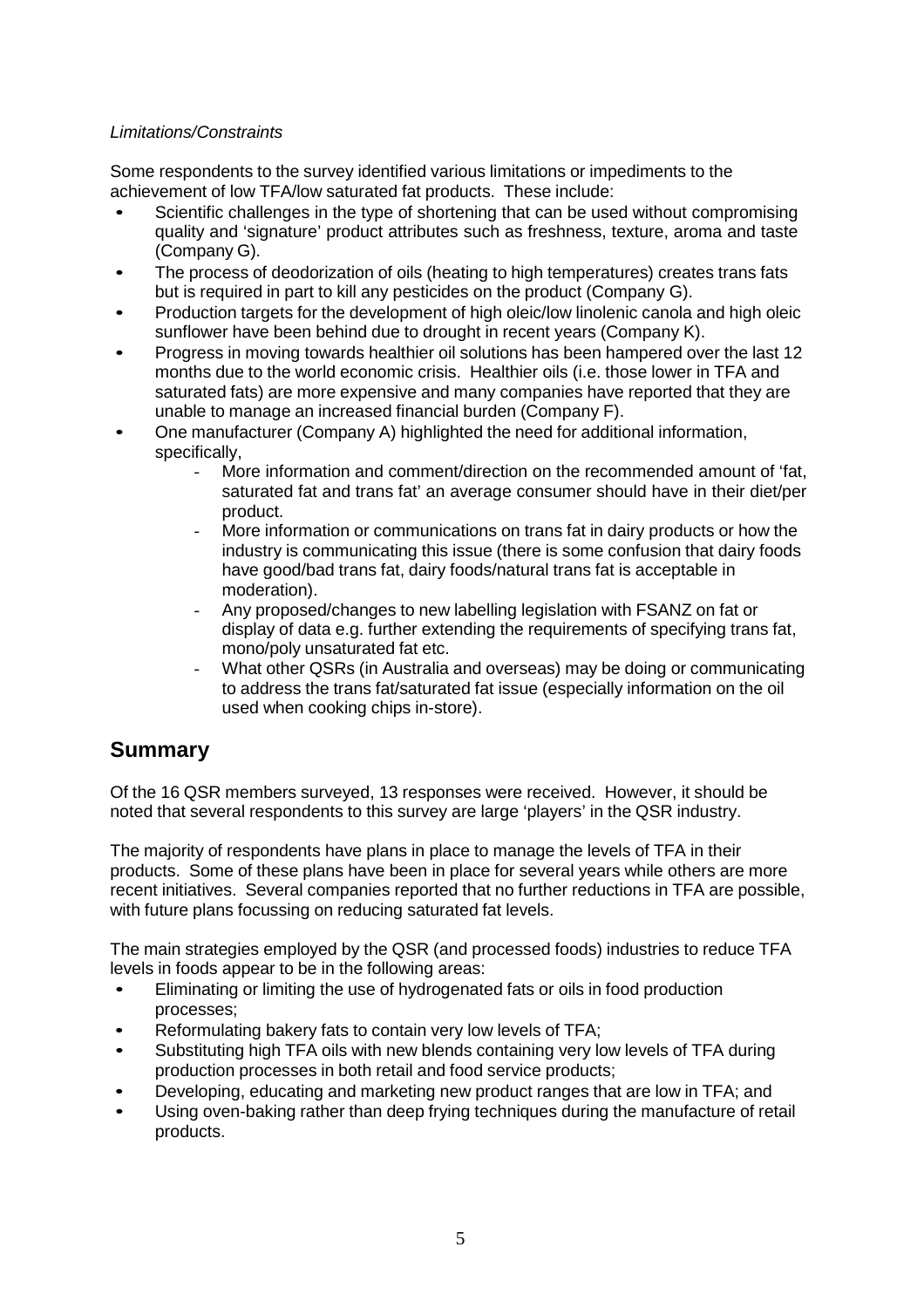### *Limitations/Constraints*

Some respondents to the survey identified various limitations or impediments to the achievement of low TFA/low saturated fat products. These include:<br>
■ Scientific challenges in the type of shortening that can be use

- Scientific challenges in the type of shortening that can be used without compromising quality and 'signature' product attributes such as freshness, texture, aroma and taste (Company G).
- The process of deodorization of oils (heating to high temperatures) creates trans fats but is required in part to kill any pesticides on the product (Company G).
- Production targets for the development of high oleic/low linolenic canola and high oleic sunflower have been behind due to drought in recent years (Company K).
- Progress in moving towards healthier oil solutions has been hampered over the last 12 months due to the world economic crisis. Healthier oils (i.e. those lower in TFA and saturated fats) are more expensive and many companies have reported that they are unable to manage an increased financial burden (Company F).
- One manufacturer (Company A) highlighted the need for additional information, specifically,
	- More information and comment/direction on the recommended amount of 'fat, saturated fat and trans fat' an average consumer should have in their diet/per product.
	- More information or communications on trans fat in dairy products or how the industry is communicating this issue (there is some confusion that dairy foods have good/bad trans fat, dairy foods/natural trans fat is acceptable in moderation).
	- Any proposed/changes to new labelling legislation with FSANZ on fat or display of data e.g. further extending the requirements of specifying trans fat, mono/poly unsaturated fat etc.
	- What other QSRs (in Australia and overseas) may be doing or communicating to address the trans fat/saturated fat issue (especially information on the oil used when cooking chips in-store).

### **Summary**

Of the 16 QSR members surveyed, 13 responses were received. However, it should be noted that several respondents to this survey are large 'players' in the QSR industry.

The majority of respondents have plans in place to manage the levels of TFA in their products. Some of these plans have been in place for several years while others are more recent initiatives. Several companies reported that no further reductions in TFA are possible, with future plans focussing on reducing saturated fat levels.

The main strategies employed by the QSR (and processed foods) industries to reduce TFA levels in foods appear to be in the following areas:

- Eliminating or limiting the use of hydrogenated fats or oils in food production processes;
- Reformulating bakery fats to contain very low levels of TFA;
- Substituting high TFA oils with new blends containing very low levels of TFA during production processes in both retail and food service products;
- Developing, educating and marketing new product ranges that are low in TFA; and
- Using oven-baking rather than deep frying techniques during the manufacture of retail products.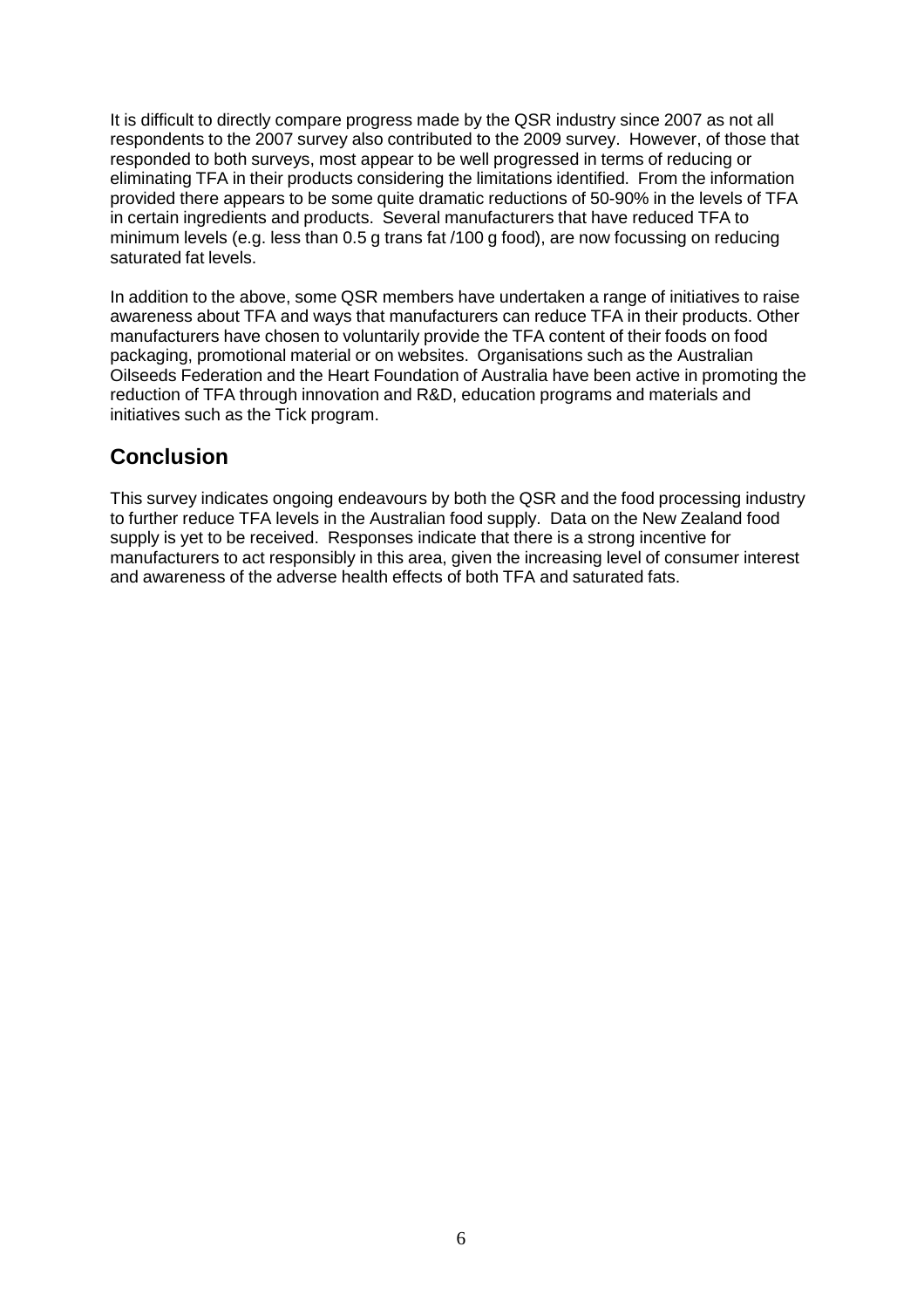It is difficult to directly compare progress made by the QSR industry since 2007 as not all respondents to the 2007 survey also contributed to the 2009 survey. However, of those that responded to both surveys, most appear to be well progressed in terms of reducing or eliminating TFA in their products considering the limitations identified. From the information provided there appears to be some quite dramatic reductions of 50-90% in the levels of TFA in certain ingredients and products. Several manufacturers that have reduced TFA to minimum levels (e.g. less than 0.5 g trans fat /100 g food), are now focussing on reducing saturated fat levels.

In addition to the above, some QSR members have undertaken a range of initiatives to raise awareness about TFA and ways that manufacturers can reduce TFA in their products. Other manufacturers have chosen to voluntarily provide the TFA content of their foods on food packaging, promotional material or on websites. Organisations such as the Australian Oilseeds Federation and the Heart Foundation of Australia have been active in promoting the reduction of TFA through innovation and R&D, education programs and materials and initiatives such as the Tick program.

# **Conclusion**

This survey indicates ongoing endeavours by both the QSR and the food processing industry to further reduce TFA levels in the Australian food supply. Data on the New Zealand food supply is yet to be received. Responses indicate that there is a strong incentive for manufacturers to act responsibly in this area, given the increasing level of consumer interest and awareness of the adverse health effects of both TFA and saturated fats.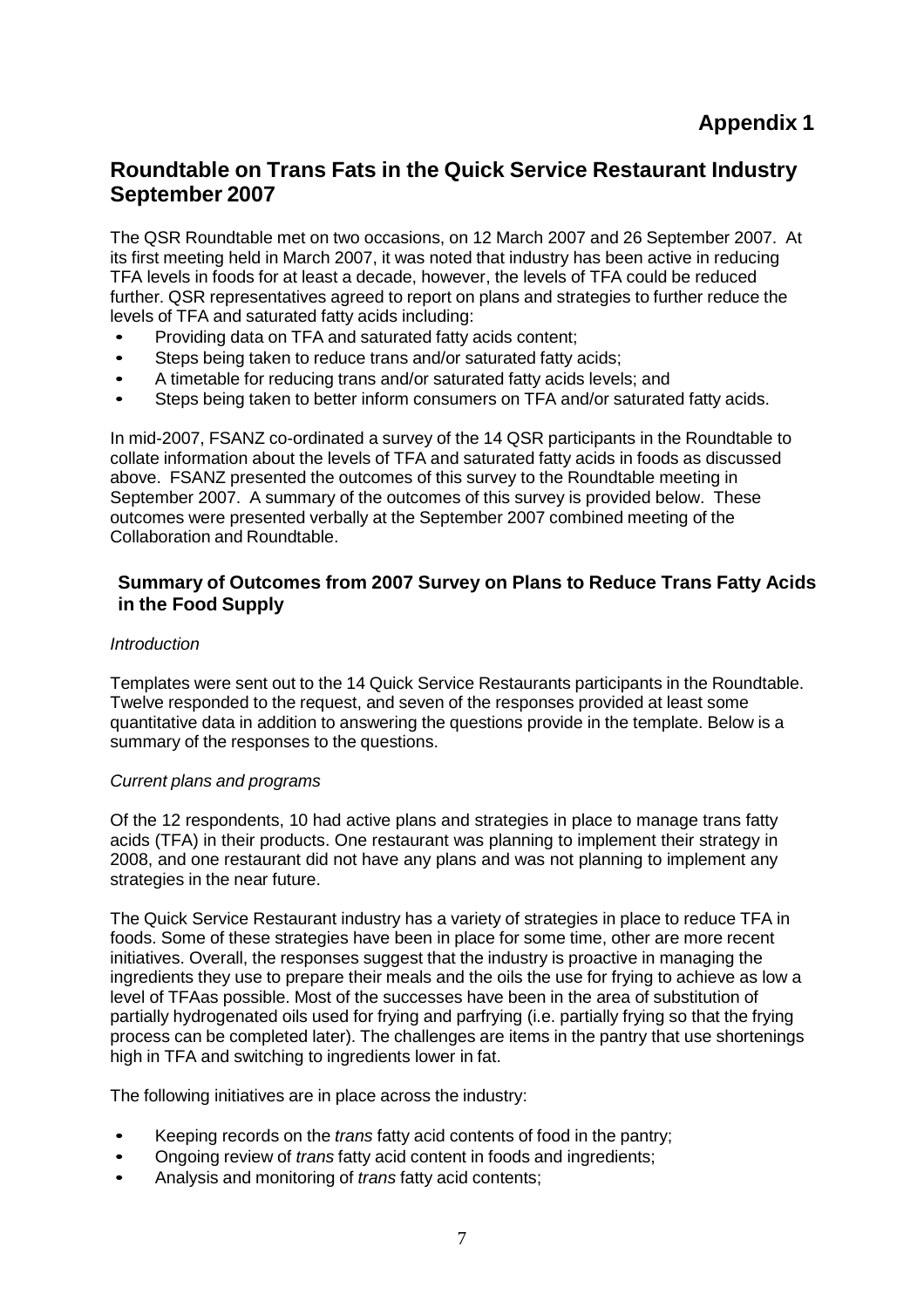### **Roundtable on Trans Fats in the Quick Service Restaurant Industry September 2007**

The QSR Roundtable met on two occasions, on 12 March 2007 and 26 September 2007. At its first meeting held in March 2007, it was noted that industry has been active in reducing TFA levels in foods for at least a decade, however, the levels of TFA could be reduced further. QSR representatives agreed to report on plans and strategies to further reduce the levels of TFA and saturated fatty acids including:

- Providing data on TFA and saturated fatty acids content;<br>• Steps being taken to reduce trans and/or saturated fatty a
- Steps being taken to reduce trans and/or saturated fatty acids;
- A timetable for reducing trans and/or saturated fatty acids levels; and
- Steps being taken to better inform consumers on TFA and/or saturated fatty acids.

In mid-2007, FSANZ co-ordinated a survey of the 14 QSR participants in the Roundtable to collate information about the levels of TFA and saturated fatty acids in foods as discussed above. FSANZ presented the outcomes of this survey to the Roundtable meeting in September 2007. A summary of the outcomes of this survey is provided below. These outcomes were presented verbally at the September 2007 combined meeting of the Collaboration and Roundtable.

### **Summary of Outcomes from 2007 Survey on Plans to Reduce Trans Fatty Acids in the Food Supply**

### *Introduction*

Templates were sent out to the 14 Quick Service Restaurants participants in the Roundtable. Twelve responded to the request, and seven of the responses provided at least some quantitative data in addition to answering the questions provide in the template. Below is a summary of the responses to the questions.

#### *Current plans and programs*

Of the 12 respondents, 10 had active plans and strategies in place to manage trans fatty acids (TFA) in their products. One restaurant was planning to implement their strategy in 2008, and one restaurant did not have any plans and was not planning to implement any strategies in the near future.

The Quick Service Restaurant industry has a variety of strategies in place to reduce TFA in foods. Some of these strategies have been in place for some time, other are more recent initiatives. Overall, the responses suggest that the industry is proactive in managing the ingredients they use to prepare their meals and the oils the use for frying to achieve as low a level of TFAas possible. Most of the successes have been in the area of substitution of partially hydrogenated oils used for frying and parfrying (i.e. partially frying so that the frying process can be completed later). The challenges are items in the pantry that use shortenings high in TFA and switching to ingredients lower in fat.

The following initiatives are in place across the industry:

- Keeping records on the *trans* fatty acid contents of food in the pantry;
- Ongoing review of *trans* fatty acid content in foods and ingredients;
- Analysis and monitoring of *trans* fatty acid contents;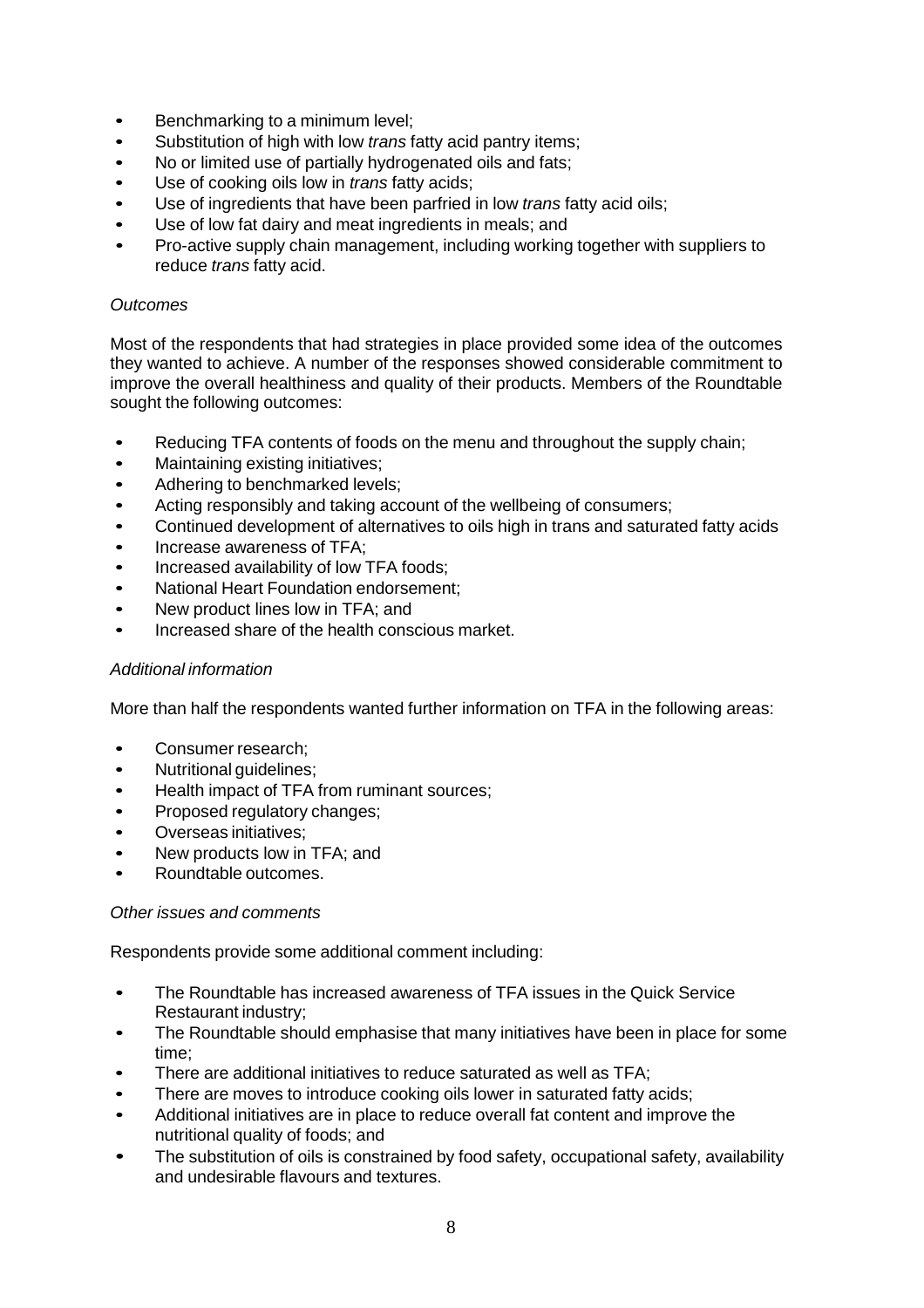- Benchmarking to a minimum level;
- Substitution of high with low *trans* fatty acid pantry items;
- No or limited use of partially hydrogenated oils and fats;
- Use of cooking oils low in *trans* fatty acids;
- Use of ingredients that have been parfried in low *trans* fatty acid oils;
- Use of low fat dairy and meat ingredients in meals; and
- Pro-active supply chain management, including working together with suppliers to reduce *trans* fatty acid.

#### *Outcomes*

Most of the respondents that had strategies in place provided some idea of the outcomes they wanted to achieve. A number of the responses showed considerable commitment to improve the overall healthiness and quality of their products. Members of the Roundtable sought the following outcomes:

- Reducing TFA contents of foods on the menu and throughout the supply chain;<br>• Maintaining existing initiatives:
- Maintaining existing initiatives;<br>• Adhering to benchmarked leve
- Adhering to benchmarked levels;
- Acting responsibly and taking account of the wellbeing of consumers;
- Continued development of alternatives to oils high in trans and saturated fatty acids
- Increase awareness of TFA;
- Increased availability of low TFA foods;
- National Heart Foundation endorsement;
- New product lines low in TFA; and
- Increased share of the health conscious market.

#### *Additional information*

More than half the respondents wanted further information on TFA in the following areas:

- Consumer research;
- Nutritional guidelines;
- Health impact of TFA from ruminant sources;
- Proposed regulatory changes;
- Overseas initiatives;
- New products low in TFA; and
- Roundtable outcomes.

#### *Other issues and comments*

Respondents provide some additional comment including:

- The Roundtable has increased awareness of TFA issues in the Quick Service Restaurant industry;
- The Roundtable should emphasise that many initiatives have been in place for some time;
- There are additional initiatives to reduce saturated as well as TFA;
- There are moves to introduce cooking oils lower in saturated fatty acids;
- Additional initiatives are in place to reduce overall fat content and improve the nutritional quality of foods; and
- The substitution of oils is constrained by food safety, occupational safety, availability and undesirable flavours and textures.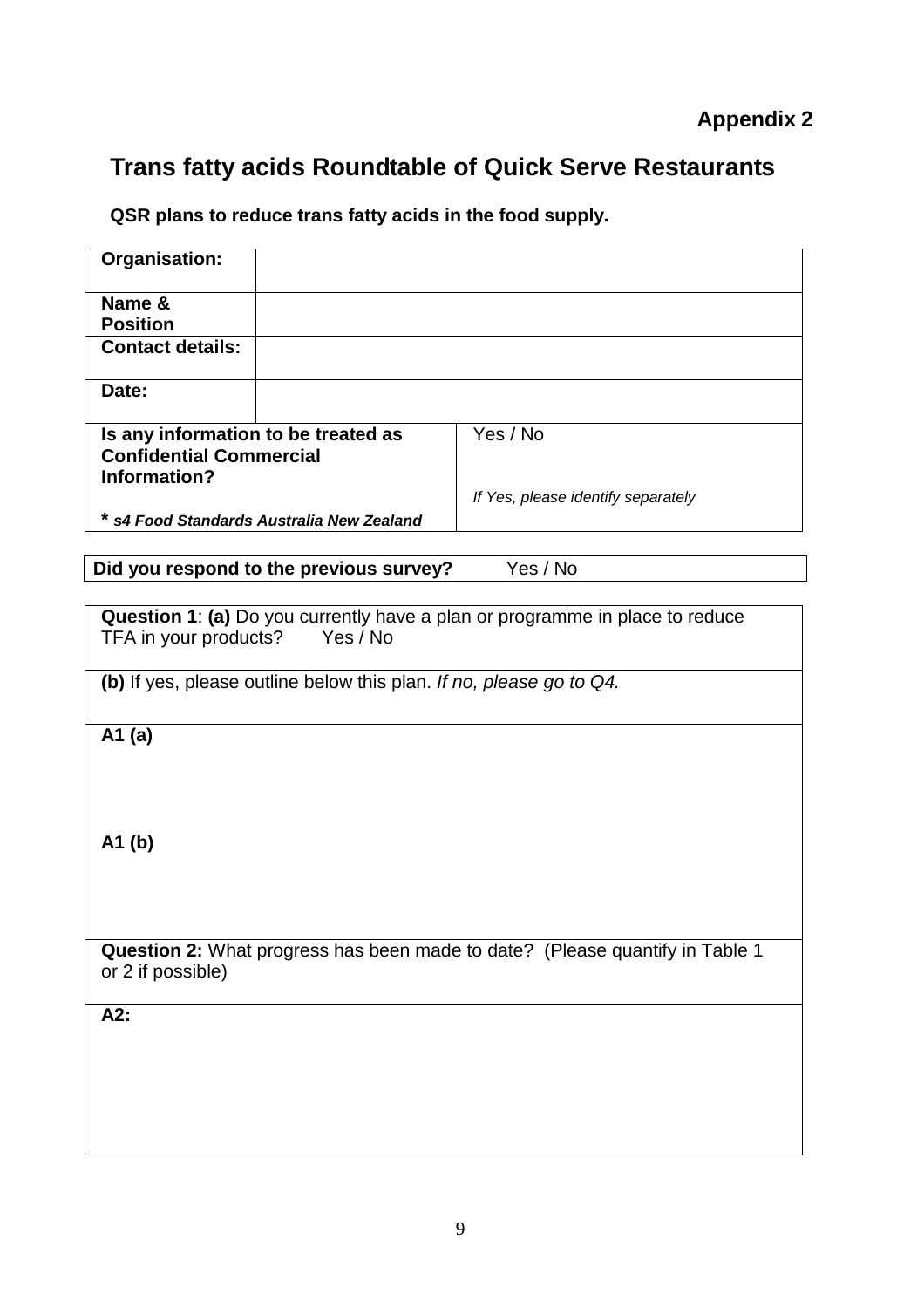# **Trans fatty acids Roundtable of Quick Serve Restaurants**

**QSR plans to reduce trans fatty acids in the food supply.**

| Organisation:                                                                |                                                                     |                                                                                     |  |  |  |
|------------------------------------------------------------------------------|---------------------------------------------------------------------|-------------------------------------------------------------------------------------|--|--|--|
| Name &                                                                       |                                                                     |                                                                                     |  |  |  |
| <b>Position</b>                                                              |                                                                     |                                                                                     |  |  |  |
| <b>Contact details:</b>                                                      |                                                                     |                                                                                     |  |  |  |
| Date:                                                                        |                                                                     |                                                                                     |  |  |  |
| Is any information to be treated as                                          |                                                                     | Yes / No                                                                            |  |  |  |
| <b>Confidential Commercial</b>                                               |                                                                     |                                                                                     |  |  |  |
| Information?                                                                 |                                                                     |                                                                                     |  |  |  |
|                                                                              |                                                                     | If Yes, please identify separately                                                  |  |  |  |
|                                                                              | * s4 Food Standards Australia New Zealand                           |                                                                                     |  |  |  |
|                                                                              |                                                                     |                                                                                     |  |  |  |
|                                                                              | Did you respond to the previous survey?                             | Yes / No                                                                            |  |  |  |
|                                                                              |                                                                     |                                                                                     |  |  |  |
|                                                                              |                                                                     | <b>Question 1: (a)</b> Do you currently have a plan or programme in place to reduce |  |  |  |
| TFA in your products?                                                        | Yes / No                                                            |                                                                                     |  |  |  |
|                                                                              |                                                                     |                                                                                     |  |  |  |
|                                                                              | (b) If yes, please outline below this plan. If no, please go to Q4. |                                                                                     |  |  |  |
|                                                                              |                                                                     |                                                                                     |  |  |  |
| A1 $(a)$                                                                     |                                                                     |                                                                                     |  |  |  |
|                                                                              |                                                                     |                                                                                     |  |  |  |
|                                                                              |                                                                     |                                                                                     |  |  |  |
|                                                                              |                                                                     |                                                                                     |  |  |  |
|                                                                              |                                                                     |                                                                                     |  |  |  |
| A1(b)                                                                        |                                                                     |                                                                                     |  |  |  |
|                                                                              |                                                                     |                                                                                     |  |  |  |
|                                                                              |                                                                     |                                                                                     |  |  |  |
|                                                                              |                                                                     |                                                                                     |  |  |  |
|                                                                              |                                                                     |                                                                                     |  |  |  |
| Question 2: What progress has been made to date? (Please quantify in Table 1 |                                                                     |                                                                                     |  |  |  |
| or 2 if possible)                                                            |                                                                     |                                                                                     |  |  |  |
|                                                                              |                                                                     |                                                                                     |  |  |  |
| A2:                                                                          |                                                                     |                                                                                     |  |  |  |
|                                                                              |                                                                     |                                                                                     |  |  |  |
|                                                                              |                                                                     |                                                                                     |  |  |  |
|                                                                              |                                                                     |                                                                                     |  |  |  |
|                                                                              |                                                                     |                                                                                     |  |  |  |
|                                                                              |                                                                     |                                                                                     |  |  |  |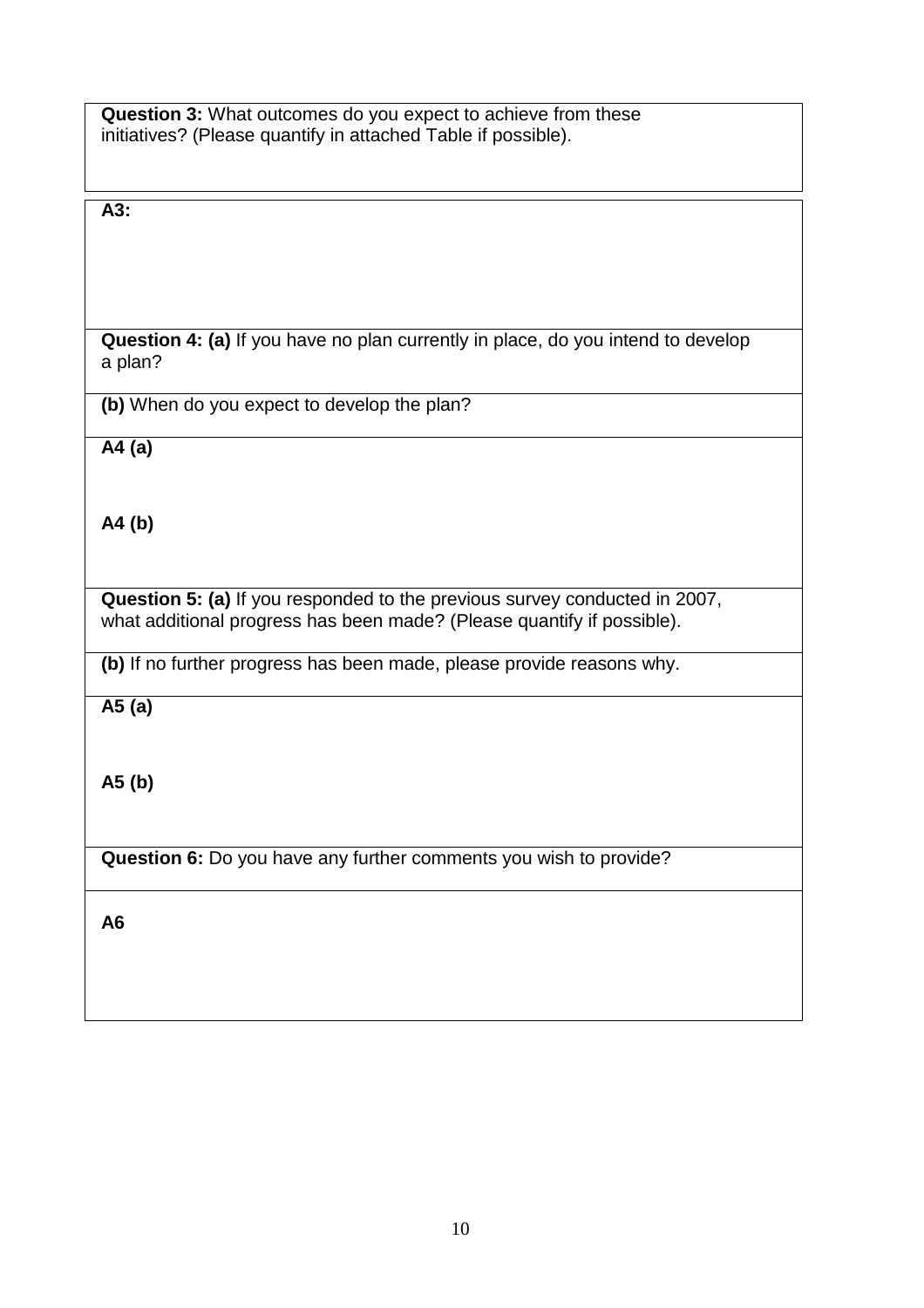| <b>Question 3:</b> What outcomes do you expect to achieve from these |
|----------------------------------------------------------------------|
| initiatives? (Please quantify in attached Table if possible).        |

### **A3:**

**Question 4: (a)** If you have no plan currently in place, do you intend to develop a plan?

**(b)** When do you expect to develop the plan?

**A4 (a)**

**A4 (b)**

**Question 5: (a)** If you responded to the previous survey conducted in 2007, what additional progress has been made? (Please quantify if possible).

**(b)** If no further progress has been made, please provide reasons why.

**A5 (a)**

**A5 (b)**

**Question 6:** Do you have any further comments you wish to provide?

**A6**